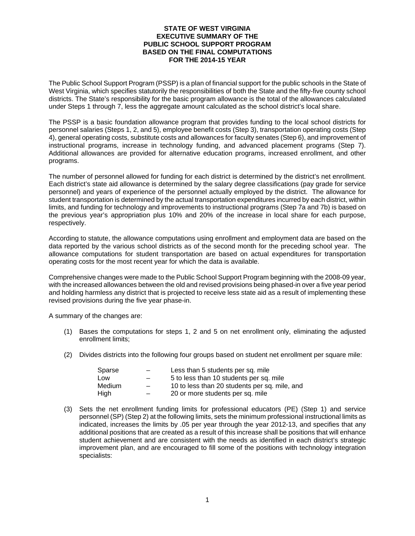## **STATE OF WEST VIRGINIA EXECUTIVE SUMMARY OF THE PUBLIC SCHOOL SUPPORT PROGRAM BASED ON THE FINAL COMPUTATIONS FOR THE 2014-15 YEAR**

The Public School Support Program (PSSP) is a plan of financial support for the public schools in the State of West Virginia, which specifies statutorily the responsibilities of both the State and the fifty-five county school districts. The State's responsibility for the basic program allowance is the total of the allowances calculated under Steps 1 through 7, less the aggregate amount calculated as the school district's local share.

The PSSP is a basic foundation allowance program that provides funding to the local school districts for personnel salaries (Steps 1, 2, and 5), employee benefit costs (Step 3), transportation operating costs (Step 4), general operating costs, substitute costs and allowances for faculty senates (Step 6), and improvement of instructional programs, increase in technology funding, and advanced placement programs (Step 7). Additional allowances are provided for alternative education programs, increased enrollment, and other programs.

The number of personnel allowed for funding for each district is determined by the district's net enrollment. Each district's state aid allowance is determined by the salary degree classifications (pay grade for service personnel) and years of experience of the personnel actually employed by the district. The allowance for student transportation is determined by the actual transportation expenditures incurred by each district, within limits, and funding for technology and improvements to instructional programs (Step 7a and 7b) is based on the previous year's appropriation plus 10% and 20% of the increase in local share for each purpose, respectively.

According to statute, the allowance computations using enrollment and employment data are based on the data reported by the various school districts as of the second month for the preceding school year. The allowance computations for student transportation are based on actual expenditures for transportation operating costs for the most recent year for which the data is available.

Comprehensive changes were made to the Public School Support Program beginning with the 2008-09 year, with the increased allowances between the old and revised provisions being phased-in over a five year period and holding harmless any district that is projected to receive less state aid as a result of implementing these revised provisions during the five year phase-in.

A summary of the changes are:

- (1) Bases the computations for steps 1, 2 and 5 on net enrollment only, eliminating the adjusted enrollment limits;
- (2) Divides districts into the following four groups based on student net enrollment per square mile:

| Sparse | $\overline{\phantom{0}}$ | Less than 5 students per sq. mile             |
|--------|--------------------------|-----------------------------------------------|
| ∟OW    | $\overline{\phantom{0}}$ | 5 to less than 10 students per sq. mile       |
| Medium | $\overline{\phantom{0}}$ | 10 to less than 20 students per sq. mile, and |
| High   |                          | 20 or more students per sq. mile              |

(3) Sets the net enrollment funding limits for professional educators (PE) (Step 1) and service personnel (SP) (Step 2) at the following limits, sets the minimum professional instructional limits as indicated, increases the limits by .05 per year through the year 2012-13, and specifies that any additional positions that are created as a result of this increase shall be positions that will enhance student achievement and are consistent with the needs as identified in each district's strategic improvement plan, and are encouraged to fill some of the positions with technology integration specialists: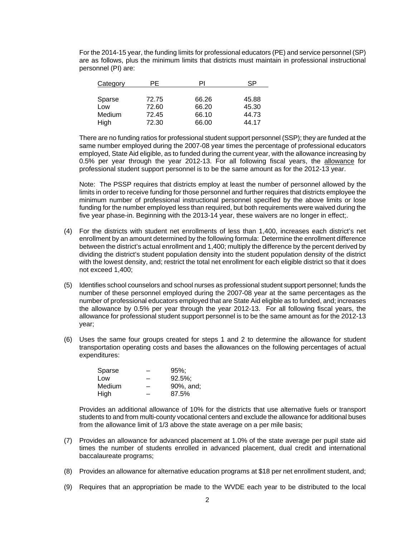For the 2014-15 year, the funding limits for professional educators (PE) and service personnel (SP) are as follows, plus the minimum limits that districts must maintain in professional instructional personnel (PI) are:

| Category | ΡF    |       | SP.   |
|----------|-------|-------|-------|
|          |       |       |       |
| Sparse   | 72.75 | 66.26 | 45.88 |
| Low      | 72.60 | 66.20 | 45.30 |
| Medium   | 72.45 | 66.10 | 44.73 |
| High     | 72.30 | 66.00 | 44.17 |

 There are no funding ratios for professional student support personnel (SSP); they are funded at the same number employed during the 2007-08 year times the percentage of professional educators employed, State Aid eligible, as to funded during the current year, with the allowance increasing by 0.5% per year through the year 2012-13. For all following fiscal years, the allowance for professional student support personnel is to be the same amount as for the 2012-13 year.

 Note: The PSSP requires that districts employ at least the number of personnel allowed by the limits in order to receive funding for those personnel and further requires that districts employee the minimum number of professional instructional personnel specified by the above limits or lose funding for the number employed less than required, but both requirements were waived during the five year phase-in. Beginning with the 2013-14 year, these waivers are no longer in effect;.

- (4) For the districts with student net enrollments of less than 1,400, increases each district's net enrollment by an amount determined by the following formula: Determine the enrollment difference between the district's actual enrollment and 1,400; multiply the difference by the percent derived by dividing the district's student population density into the student population density of the district with the lowest density, and; restrict the total net enrollment for each eligible district so that it does not exceed 1,400;
- (5) Identifies school counselors and school nurses as professional student support personnel; funds the number of these personnel employed during the 2007-08 year at the same percentages as the number of professional educators employed that are State Aid eligible as to funded, and; increases the allowance by 0.5% per year through the year 2012-13. For all following fiscal years, the allowance for professional student support personnel is to be the same amount as for the 2012-13 year;
- (6) Uses the same four groups created for steps 1 and 2 to determine the allowance for student transportation operating costs and bases the allowances on the following percentages of actual expenditures:

| Sparse | $95\%$     |
|--------|------------|
| Low    | $92.5\%$ ; |
| Medium | 90%, and;  |
| High   | 87.5%      |

 Provides an additional allowance of 10% for the districts that use alternative fuels or transport students to and from multi-county vocational centers and exclude the allowance for additional buses from the allowance limit of 1/3 above the state average on a per mile basis;

- (7) Provides an allowance for advanced placement at 1.0% of the state average per pupil state aid times the number of students enrolled in advanced placement, dual credit and international baccalaureate programs;
- (8) Provides an allowance for alternative education programs at \$18 per net enrollment student, and;
- (9) Requires that an appropriation be made to the WVDE each year to be distributed to the local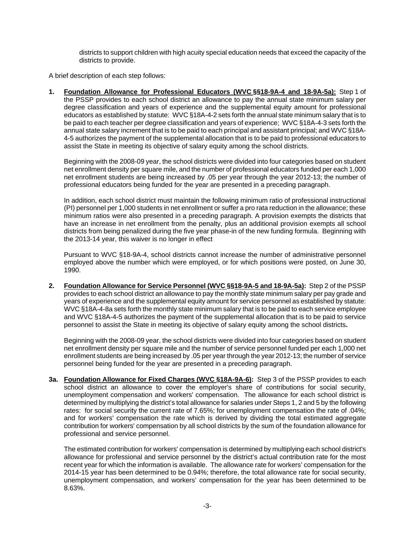districts to support children with high acuity special education needs that exceed the capacity of the districts to provide.

A brief description of each step follows:

**1. Foundation Allowance for Professional Educators (WVC §§18-9A-4 and 18-9A-5a):** Step 1 of the PSSP provides to each school district an allowance to pay the annual state minimum salary per degree classification and years of experience and the supplemental equity amount for professional educators as established by statute: WVC §18A-4-2 sets forth the annual state minimum salary that is to be paid to each teacher per degree classification and years of experience; WVC §18A-4-3 sets forth the annual state salary increment that is to be paid to each principal and assistant principal; and WVC §18A-4-5 authorizes the payment of the supplemental allocation that is to be paid to professional educators to assist the State in meeting its objective of salary equity among the school districts.

Beginning with the 2008-09 year, the school districts were divided into four categories based on student net enrollment density per square mile, and the number of professional educators funded per each 1,000 net enrollment students are being increased by .05 per year through the year 2012-13; the number of professional educators being funded for the year are presented in a preceding paragraph.

In addition, each school district must maintain the following minimum ratio of professional instructional (PI) personnel per 1,000 students in net enrollment or suffer a pro rata reduction in the allowance; these minimum ratios were also presented in a preceding paragraph. A provision exempts the districts that have an increase in net enrollment from the penalty, plus an additional provision exempts all school districts from being penalized during the five year phase-in of the new funding formula. Beginning with the 2013-14 year, this waiver is no longer in effect

Pursuant to WVC §18-9A-4, school districts cannot increase the number of administrative personnel employed above the number which were employed, or for which positions were posted, on June 30, 1990.

**2. Foundation Allowance for Service Personnel (WVC §§18-9A-5 and 18-9A-5a):** Step 2 of the PSSP provides to each school district an allowance to pay the monthly state minimum salary per pay grade and years of experience and the supplemental equity amount for service personnel as established by statute: WVC §18A-4-8a sets forth the monthly state minimum salary that is to be paid to each service employee and WVC §18A-4-5 authorizes the payment of the supplemental allocation that is to be paid to service personnel to assist the State in meeting its objective of salary equity among the school districts**.** 

Beginning with the 2008-09 year, the school districts were divided into four categories based on student net enrollment density per square mile and the number of service personnel funded per each 1,000 net enrollment students are being increased by .05 per year through the year 2012-13; the number of service personnel being funded for the year are presented in a preceding paragraph.

**3a. Foundation Allowance for Fixed Charges (WVC §18A-9A-6):** Step 3 of the PSSP provides to each school district an allowance to cover the employer's share of contributions for social security, unemployment compensation and workers' compensation. The allowance for each school district is determined by multiplying the district's total allowance for salaries under Steps 1, 2 and 5 by the following rates: for social security the current rate of 7.65%; for unemployment compensation the rate of .04%; and for workers' compensation the rate which is derived by dividing the total estimated aggregate contribution for workers' compensation by all school districts by the sum of the foundation allowance for professional and service personnel.

 The estimated contribution for workers' compensation is determined by multiplying each school district's allowance for professional and service personnel by the district's actual contribution rate for the most recent year for which the information is available. The allowance rate for workers' compensation for the 2014-15 year has been determined to be 0.94%; therefore, the total allowance rate for social security, unemployment compensation, and workers' compensation for the year has been determined to be 8.63%.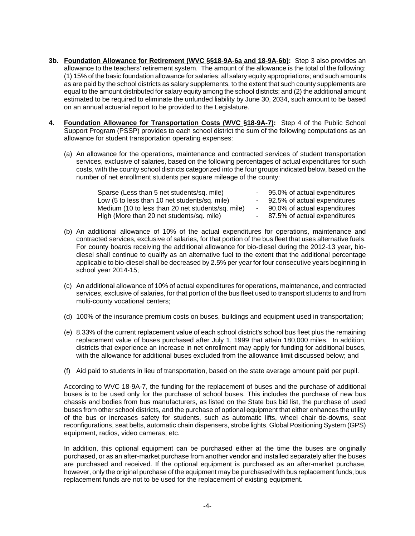- **3b. Foundation Allowance for Retirement (WVC §§18-9A-6a and 18-9A-6b):** Step 3 also provides an allowance to the teachers' retirement system. The amount of the allowance is the total of the following: (1) 15% of the basic foundation allowance for salaries; all salary equity appropriations; and such amounts as are paid by the school districts as salary supplements, to the extent that such county supplements are equal to the amount distributed for salary equity among the school districts; and (2) the additional amount estimated to be required to eliminate the unfunded liability by June 30, 2034, such amount to be based on an annual actuarial report to be provided to the Legislature.
- **4. Foundation Allowance for Transportation Costs (WVC §18-9A-7):** Step 4 of the Public School Support Program (PSSP) provides to each school district the sum of the following computations as an allowance for student transportation operating expenses:
	- (a) An allowance for the operations, maintenance and contracted services of student transportation services, exclusive of salaries, based on the following percentages of actual expenditures for such costs, with the county school districts categorized into the four groups indicated below, based on the number of net enrollment students per square mileage of the county:

| Sparse (Less than 5 net students/sq. mile)        | - 95.0% of actual expenditures |
|---------------------------------------------------|--------------------------------|
| Low (5 to less than 10 net students/sq. mile)     | - 92.5% of actual expenditures |
| Medium (10 to less than 20 net students/sq. mile) | - 90.0% of actual expenditures |
| High (More than 20 net students/sq. mile)         | - 87.5% of actual expenditures |

- (b) An additional allowance of 10% of the actual expenditures for operations, maintenance and contracted services, exclusive of salaries, for that portion of the bus fleet that uses alternative fuels. For county boards receiving the additional allowance for bio-diesel during the 2012-13 year, biodiesel shall continue to qualify as an alternative fuel to the extent that the additional percentage applicable to bio-diesel shall be decreased by 2.5% per year for four consecutive years beginning in school year 2014-15;
- (c) An additional allowance of 10% of actual expenditures for operations, maintenance, and contracted services, exclusive of salaries, for that portion of the bus fleet used to transport students to and from multi-county vocational centers;
- (d) 100% of the insurance premium costs on buses, buildings and equipment used in transportation;
- (e) 8.33% of the current replacement value of each school district's school bus fleet plus the remaining replacement value of buses purchased after July 1, 1999 that attain 180,000 miles. In addition, districts that experience an increase in net enrollment may apply for funding for additional buses, with the allowance for additional buses excluded from the allowance limit discussed below; and
- (f) Aid paid to students in lieu of transportation, based on the state average amount paid per pupil.

According to WVC 18-9A-7, the funding for the replacement of buses and the purchase of additional buses is to be used only for the purchase of school buses. This includes the purchase of new bus chassis and bodies from bus manufacturers, as listed on the State bus bid list, the purchase of used buses from other school districts, and the purchase of optional equipment that either enhances the utility of the bus or increases safety for students, such as automatic lifts, wheel chair tie-downs, seat reconfigurations, seat belts, automatic chain dispensers, strobe lights, Global Positioning System (GPS) equipment, radios, video cameras, etc.

In addition, this optional equipment can be purchased either at the time the buses are originally purchased, or as an after-market purchase from another vendor and installed separately after the buses are purchased and received. If the optional equipment is purchased as an after-market purchase, however, only the original purchase of the equipment may be purchased with bus replacement funds; bus replacement funds are not to be used for the replacement of existing equipment.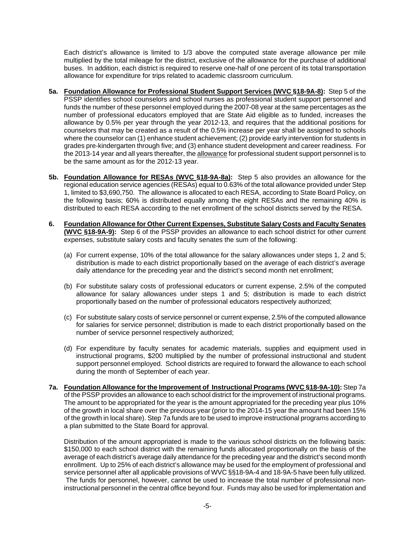Each district's allowance is limited to 1/3 above the computed state average allowance per mile multiplied by the total mileage for the district, exclusive of the allowance for the purchase of additional buses. In addition, each district is required to reserve one-half of one percent of its total transportation allowance for expenditure for trips related to academic classroom curriculum.

- **5a. Foundation Allowance for Professional Student Support Services (WVC §18-9A-8):** Step 5 of the PSSP identifies school counselors and school nurses as professional student support personnel and funds the number of these personnel employed during the 2007-08 year at the same percentages as the number of professional educators employed that are State Aid eligible as to funded, increases the allowance by 0.5% per year through the year 2012-13, and requires that the additional positions for counselors that may be created as a result of the 0.5% increase per year shall be assigned to schools where the counselor can (1) enhance student achievement; (2) provide early intervention for students in grades pre-kindergarten through five; and (3) enhance student development and career readiness. For the 2013-14 year and all years thereafter, the allowance for professional student support personnel is to be the same amount as for the 2012-13 year.
- **5b. Foundation Allowance for RESAs (WVC §18-9A-8a):** Step 5 also provides an allowance for the regional education service agencies (RESAs) equal to 0.63% of the total allowance provided under Step 1, limited to \$3,690,750. The allowance is allocated to each RESA, according to State Board Policy, on the following basis; 60% is distributed equally among the eight RESAs and the remaining 40% is distributed to each RESA according to the net enrollment of the school districts served by the RESA.
- **6. Foundation Allowance for Other Current Expenses, Substitute Salary Costs and Faculty Senates (WVC §18-9A-9):** Step 6 of the PSSP provides an allowance to each school district for other current expenses, substitute salary costs and faculty senates the sum of the following:
	- (a) For current expense, 10% of the total allowance for the salary allowances under steps 1, 2 and 5; distribution is made to each district proportionally based on the average of each district's average daily attendance for the preceding year and the district's second month net enrollment;
	- (b) For substitute salary costs of professional educators or current expense, 2.5% of the computed allowance for salary allowances under steps 1 and 5; distribution is made to each district proportionally based on the number of professional educators respectively authorized;
	- (c) For substitute salary costs of service personnel or current expense, 2.5% of the computed allowance for salaries for service personnel; distribution is made to each district proportionally based on the number of service personnel respectively authorized;
	- (d) For expenditure by faculty senates for academic materials, supplies and equipment used in instructional programs, \$200 multiplied by the number of professional instructional and student support personnel employed. School districts are required to forward the allowance to each school during the month of September of each year.
- **7a. Foundation Allowance for the Improvement of Instructional Programs (WVC §18-9A-10):** Step 7a of the PSSP provides an allowance to each school district for the improvement of instructional programs. The amount to be appropriated for the year is the amount appropriated for the preceding year plus 10% of the growth in local share over the previous year (prior to the 2014-15 year the amount had been 15% of the growth in local share). Step 7a funds are to be used to improve instructional programs according to a plan submitted to the State Board for approval.

 Distribution of the amount appropriated is made to the various school districts on the following basis: \$150,000 to each school district with the remaining funds allocated proportionally on the basis of the average of each district's average daily attendance for the preceding year and the district's second month enrollment. Up to 25% of each district's allowance may be used for the employment of professional and service personnel after all applicable provisions of WVC §§18-9A-4 and 18-9A-5 have been fully utilized. The funds for personnel, however, cannot be used to increase the total number of professional noninstructional personnel in the central office beyond four. Funds may also be used for implementation and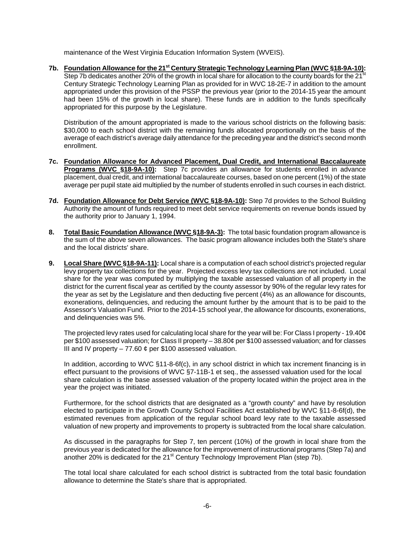maintenance of the West Virginia Education Information System (WVEIS).

7b. Foundation Allowance for the 21<sup>st</sup> Century Strategic Technology Learning Plan (WVC §18-9A-10): Step 7b dedicates another 20% of the growth in local share for allocation to the county boards for the 21<sup>st</sup> Century Strategic Technology Learning Plan as provided for in WVC 18-2E-7 in addition to the amount appropriated under this provision of the PSSP the previous year (prior to the 2014-15 year the amount had been 15% of the growth in local share). These funds are in addition to the funds specifically appropriated for this purpose by the Legislature.

 Distribution of the amount appropriated is made to the various school districts on the following basis: \$30,000 to each school district with the remaining funds allocated proportionally on the basis of the average of each district's average daily attendance for the preceding year and the district's second month enrollment.

- **7c. Foundation Allowance for Advanced Placement, Dual Credit, and International Baccalaureate Programs (WVC §18-9A-10):** Step 7c provides an allowance for students enrolled in advance placement, dual credit, and international baccalaureate courses, based on one percent (1%) of the state average per pupil state aid multiplied by the number of students enrolled in such courses in each district.
- 7d. Foundation Allowance for Debt Service (WVC §18-9A-10): Step 7d provides to the School Building Authority the amount of funds required to meet debt service requirements on revenue bonds issued by the authority prior to January 1, 1994.
- **8. Total Basic Foundation Allowance (WVC §18-9A-3):** The total basic foundation program allowance is the sum of the above seven allowances. The basic program allowance includes both the State's share and the local districts' share.
- **9. Local Share (WVC §18-9A-11):** Local share is a computation of each school district's projected regular levy property tax collections for the year. Projected excess levy tax collections are not included. Local share for the year was computed by multiplying the taxable assessed valuation of all property in the district for the current fiscal year as certified by the county assessor by 90% of the regular levy rates for the year as set by the Legislature and then deducting five percent (4%) as an allowance for discounts, exonerations, delinquencies, and reducing the amount further by the amount that is to be paid to the Assessor's Valuation Fund. Prior to the 2014-15 school year, the allowance for discounts, exonerations, and delinquencies was 5%.

The projected levy rates used for calculating local share for the year will be: For Class I property - 19.40¢ per \$100 assessed valuation; for Class II property – 38.80¢ per \$100 assessed valuation; and for classes III and IV property – 77.60  $\phi$  per \$100 assessed valuation.

In addition, according to WVC §11-8-6f(c), in any school district in which tax increment financing is in effect pursuant to the provisions of WVC §7-11B-1 et seq., the assessed valuation used for the local share calculation is the base assessed valuation of the property located within the project area in the year the project was initiated.

Furthermore, for the school districts that are designated as a "growth county" and have by resolution elected to participate in the Growth County School Facilities Act established by WVC §11-8-6f(d), the estimated revenues from application of the regular school board levy rate to the taxable assessed valuation of new property and improvements to property is subtracted from the local share calculation.

As discussed in the paragraphs for Step 7, ten percent (10%) of the growth in local share from the previous year is dedicated for the allowance for the improvement of instructional programs (Step 7a) and another  $20\%$  is dedicated for the 21<sup>st</sup> Century Technology Improvement Plan (step 7b).

The total local share calculated for each school district is subtracted from the total basic foundation allowance to determine the State's share that is appropriated.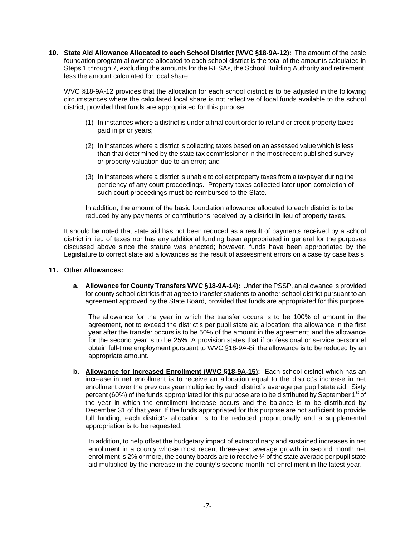**10. State Aid Allowance Allocated to each School District (WVC §18-9A-12):** The amount of the basic foundation program allowance allocated to each school district is the total of the amounts calculated in Steps 1 through 7, excluding the amounts for the RESAs, the School Building Authority and retirement, less the amount calculated for local share.

WVC §18-9A-12 provides that the allocation for each school district is to be adjusted in the following circumstances where the calculated local share is not reflective of local funds available to the school district, provided that funds are appropriated for this purpose:

- (1) In instances where a district is under a final court order to refund or credit property taxes paid in prior years;
- (2) In instances where a district is collecting taxes based on an assessed value which is less than that determined by the state tax commissioner in the most recent published survey or property valuation due to an error; and
- (3) In instances where a district is unable to collect property taxes from a taxpayer during the pendency of any court proceedings. Property taxes collected later upon completion of such court proceedings must be reimbursed to the State.

In addition, the amount of the basic foundation allowance allocated to each district is to be reduced by any payments or contributions received by a district in lieu of property taxes.

It should be noted that state aid has not been reduced as a result of payments received by a school district in lieu of taxes nor has any additional funding been appropriated in general for the purposes discussed above since the statute was enacted; however, funds have been appropriated by the Legislature to correct state aid allowances as the result of assessment errors on a case by case basis.

## **11. Other Allowances:**

**a. Allowance for County Transfers WVC §18-9A-14):** Under the PSSP, an allowance is provided for county school districts that agree to transfer students to another school district pursuant to an agreement approved by the State Board, provided that funds are appropriated for this purpose.

The allowance for the year in which the transfer occurs is to be 100% of amount in the agreement, not to exceed the district's per pupil state aid allocation; the allowance in the first year after the transfer occurs is to be 50% of the amount in the agreement; and the allowance for the second year is to be 25%. A provision states that if professional or service personnel obtain full-time employment pursuant to WVC §18-9A-8i, the allowance is to be reduced by an appropriate amount.

**b.** Allowance for Increased Enrollment (WVC §18-9A-15): Each school district which has an increase in net enrollment is to receive an allocation equal to the district's increase in net enrollment over the previous year multiplied by each district's average per pupil state aid. Sixty percent (60%) of the funds appropriated for this purpose are to be distributed by September 1<sup>st</sup> of the year in which the enrollment increase occurs and the balance is to be distributed by December 31 of that year. If the funds appropriated for this purpose are not sufficient to provide full funding, each district's allocation is to be reduced proportionally and a supplemental appropriation is to be requested.

In addition, to help offset the budgetary impact of extraordinary and sustained increases in net enrollment in a county whose most recent three-year average growth in second month net enrollment is 2% or more, the county boards are to receive ¼ of the state average per pupil state aid multiplied by the increase in the county's second month net enrollment in the latest year.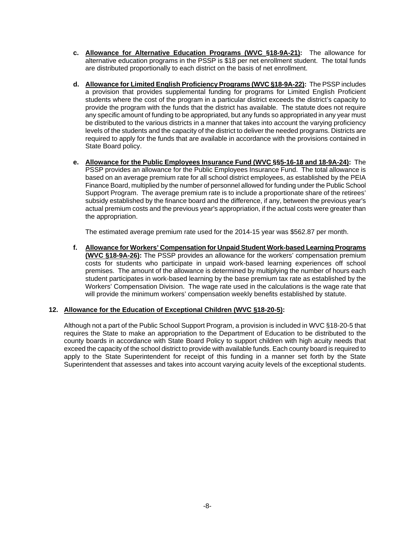- **c. Allowance for Alternative Education Programs (WVC §18-9A-21):** The allowance for alternative education programs in the PSSP is \$18 per net enrollment student. The total funds are distributed proportionally to each district on the basis of net enrollment.
- **d. Allowance for Limited English Proficiency Programs (WVC §18-9A-22):** The PSSP includes a provision that provides supplemental funding for programs for Limited English Proficient students where the cost of the program in a particular district exceeds the district's capacity to provide the program with the funds that the district has available. The statute does not require any specific amount of funding to be appropriated, but any funds so appropriated in any year must be distributed to the various districts in a manner that takes into account the varying proficiency levels of the students and the capacity of the district to deliver the needed programs. Districts are required to apply for the funds that are available in accordance with the provisions contained in State Board policy.
- **e. Allowance for the Public Employees Insurance Fund (WVC §§5-16-18 and 18-9A-24):** The PSSP provides an allowance for the Public Employees Insurance Fund. The total allowance is based on an average premium rate for all school district employees, as established by the PEIA Finance Board, multiplied by the number of personnel allowed for funding under the Public School Support Program. The average premium rate is to include a proportionate share of the retirees' subsidy established by the finance board and the difference, if any, between the previous year's actual premium costs and the previous year's appropriation, if the actual costs were greater than the appropriation.

The estimated average premium rate used for the 2014-15 year was \$562.87 per month.

**f. Allowance for Workers' Compensation for Unpaid Student Work-based Learning Programs (WVC §18-9A-26):** The PSSP provides an allowance for the workers' compensation premium costs for students who participate in unpaid work-based learning experiences off school premises. The amount of the allowance is determined by multiplying the number of hours each student participates in work-based learning by the base premium tax rate as established by the Workers' Compensation Division. The wage rate used in the calculations is the wage rate that will provide the minimum workers' compensation weekly benefits established by statute.

## **12. Allowance for the Education of Exceptional Children (WVC §18-20-5):**

Although not a part of the Public School Support Program, a provision is included in WVC §18-20-5 that requires the State to make an appropriation to the Department of Education to be distributed to the county boards in accordance with State Board Policy to support children with high acuity needs that exceed the capacity of the school district to provide with available funds. Each county board is required to apply to the State Superintendent for receipt of this funding in a manner set forth by the State Superintendent that assesses and takes into account varying acuity levels of the exceptional students.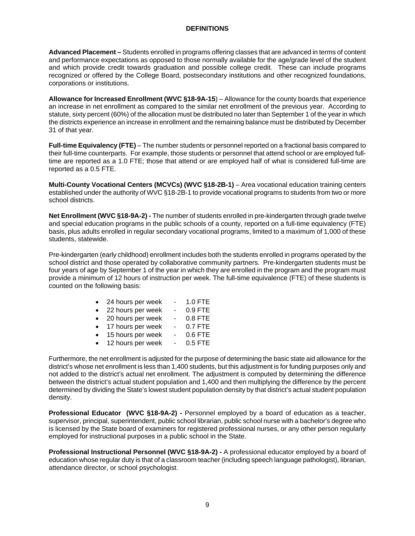## **DEFINITIONS**

**Advanced Placement –** Students enrolled in programs offering classes that are advanced in terms of content and performance expectations as opposed to those normally available for the age/grade level of the student and which provide credit towards graduation and possible college credit. These can include programs recognized or offered by the College Board, postsecondary institutions and other recognized foundations, corporations or institutions.

**Allowance for Increased Enrollment (WVC §18-9A-15**) – Allowance for the county boards that experience an increase in net enrollment as compared to the similar net enrollment of the previous year. According to statute, sixty percent (60%) of the allocation must be distributed no later than September 1 of the year in which the districts experience an increase in enrollment and the remaining balance must be distributed by December 31 of that year.

**Full-time Equivalency (FTE)** – The number students or personnel reported on a fractional basis compared to their full-time counterparts. For example, those students or personnel that attend school or are employed fulltime are reported as a 1.0 FTE; those that attend or are employed half of what is considered full-time are reported as a 0.5 FTE.

**Multi-County Vocational Centers (MCVCs) (WVC §18-2B-1)** – Area vocational education training centers established under the authority of WVC §18-2B-1 to provide vocational programs to students from two or more school districts.

**Net Enrollment (WVC §18-9A-2) -** The number of students enrolled in pre-kindergarten through grade twelve and special education programs in the public schools of a county, reported on a full-time equivalency (FTE) basis, plus adults enrolled in regular secondary vocational programs, limited to a maximum of 1,000 of these students, statewide.

Pre-kindergarten (early childhood) enrollment includes both the students enrolled in programs operated by the school district and those operated by collaborative community partners. Pre-kindergarten students must be four years of age by September 1 of the year in which they are enrolled in the program and the program must provide a minimum of 12 hours of instruction per week. The full-time equivalence (FTE) of these students is counted on the following basis:

| $\bullet$ | 24 hours per week |                          | 1.0 FTE   |
|-----------|-------------------|--------------------------|-----------|
| $\bullet$ | 22 hours per week | $\blacksquare$           | $0.9$ FTE |
| $\bullet$ | 20 hours per week |                          | $0.8$ FTE |
| $\bullet$ | 17 hours per week | $\blacksquare$           | $0.7$ FTE |
| $\bullet$ | 15 hours per week |                          | $0.6$ FTE |
| $\bullet$ | 12 hours per week | $\overline{\phantom{0}}$ | $0.5$ FTE |

Furthermore, the net enrollment is adjusted for the purpose of determining the basic state aid allowance for the district's whose net enrollment is less than 1,400 students, but this adjustment is for funding purposes only and not added to the district's actual net enrollment. The adjustment is computed by determining the difference between the district's actual student population and 1,400 and then multiplying the difference by the percent determined by dividing the State's lowest student population density by that district's actual student population density.

**Professional Educator (WVC §18-9A-2) -** Personnel employed by a board of education as a teacher, supervisor, principal, superintendent, public school librarian, public school nurse with a bachelor's degree who is licensed by the State board of examiners for registered professional nurses, or any other person regularly employed for instructional purposes in a public school in the State.

**Professional Instructional Personnel (WVC §18-9A-2) -** A professional educator employed by a board of education whose regular duty is that of a classroom teacher (including speech language pathologist), librarian, attendance director, or school psychologist.